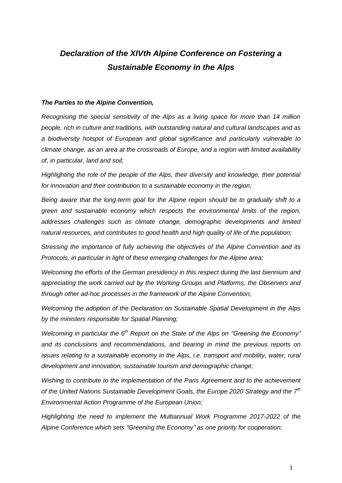# *Declaration of the XIVth Alpine Conference on Fostering a Sustainable Economy in the Alps*

## *The Parties to the Alpine Convention,*

*Recognising the special sensitivity of the Alps as a living space for more than 14 million people, rich in culture and traditions, with outstanding natural and cultural landscapes and as a biodiversity hotspot of European and global significance and particularly vulnerable to climate change, as an area at the crossroads of Europe, and a region with limited availability of, in particular, land and soil;*

*Highlighting the role of the people of the Alps, their diversity and knowledge, their potential for innovation and their contribution to a sustainable economy in the region;*

*Being aware that the long-term goal for the Alpine region should be to gradually shift to a green and sustainable economy which respects the environmental limits of the region, addresses challenges such as climate change, demographic developments and limited natural resources, and contributes to good health and high quality of life of the population;*

*Stressing the importance of fully achieving the objectives of the Alpine Convention and its Protocols, in particular in light of these emerging challenges for the Alpine area;*

*Welcoming the efforts of the German presidency in this respect during the last biennium and appreciating the work carried out by the Working Groups and Platforms, the Observers and through other ad-hoc processes in the framework of the Alpine Convention;*

*Welcoming the adoption of the Declaration on Sustainable Spatial Development in the Alps by the ministers responsible for Spatial Planning;*

*Welcoming in particular the 6th Report on the State of the Alps on "Greening the Economy" and its conclusions and recommendations, and bearing in mind the previous reports on issues relating to a sustainable economy in the Alps, i.e. transport and mobility, water, rural development and innovation, sustainable tourism and demographic change;*

*Wishing to contribute to the implementation of the Paris Agreement and to the achievement of the United Nations Sustainable Development Goals, the Europe 2020 Strategy and the 7th Environmental Action Programme of the European Union;*

*Highlighting the need to implement the Multiannual Work Programme 2017-2022 of the Alpine Conference which sets "Greening the Economy" as one priority for cooperation;*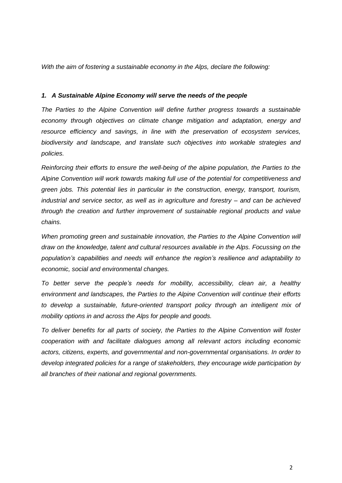*With the aim of fostering a sustainable economy in the Alps, declare the following:*

# *1. A Sustainable Alpine Economy will serve the needs of the people*

*The Parties to the Alpine Convention will define further progress towards a sustainable economy through objectives on climate change mitigation and adaptation, energy and resource efficiency and savings, in line with the preservation of ecosystem services, biodiversity and landscape, and translate such objectives into workable strategies and policies.* 

*Reinforcing their efforts to ensure the well-being of the alpine population, the Parties to the Alpine Convention will work towards making full use of the potential for competitiveness and green jobs. This potential lies in particular in the construction, energy, transport, tourism, industrial and service sector, as well as in agriculture and forestry – and can be achieved through the creation and further improvement of sustainable regional products and value chains.*

*When promoting green and sustainable innovation, the Parties to the Alpine Convention will draw on the knowledge, talent and cultural resources available in the Alps. Focussing on the population's capabilities and needs will enhance the region's resilience and adaptability to economic, social and environmental changes.*

*To better serve the people's needs for mobility, accessibility, clean air, a healthy environment and landscapes, the Parties to the Alpine Convention will continue their efforts to develop a sustainable, future-oriented transport policy through an intelligent mix of mobility options in and across the Alps for people and goods.*

*To deliver benefits for all parts of society, the Parties to the Alpine Convention will foster cooperation with and facilitate dialogues among all relevant actors including economic actors, citizens, experts, and governmental and non-governmental organisations. In order to develop integrated policies for a range of stakeholders, they encourage wide participation by all branches of their national and regional governments.*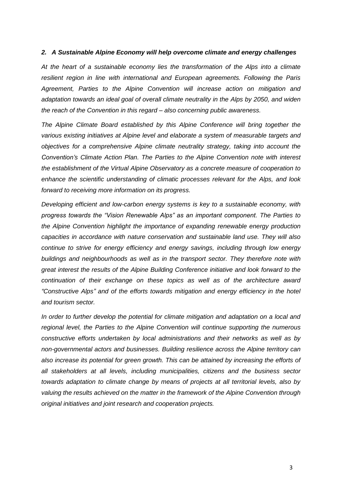## *2. A Sustainable Alpine Economy will help overcome climate and energy challenges*

*At the heart of a sustainable economy lies the transformation of the Alps into a climate resilient region in line with international and European agreements. Following the Paris Agreement, Parties to the Alpine Convention will increase action on mitigation and adaptation towards an ideal goal of overall climate neutrality in the Alps by 2050, and widen the reach of the Convention in this regard – also concerning public awareness.*

*The Alpine Climate Board established by this Alpine Conference will bring together the various existing initiatives at Alpine level and elaborate a system of measurable targets and objectives for a comprehensive Alpine climate neutrality strategy, taking into account the Convention's Climate Action Plan. The Parties to the Alpine Convention note with interest the establishment of the Virtual Alpine Observatory as a concrete measure of cooperation to enhance the scientific understanding of climatic processes relevant for the Alps, and look forward to receiving more information on its progress.*

*Developing efficient and low-carbon energy systems is key to a sustainable economy, with progress towards the "Vision Renewable Alps" as an important component. The Parties to the Alpine Convention highlight the importance of expanding renewable energy production capacities in accordance with nature conservation and sustainable land use. They will also continue to strive for energy efficiency and energy savings, including through low energy buildings and neighbourhoods as well as in the transport sector. They therefore note with great interest the results of the Alpine Building Conference initiative and look forward to the continuation of their exchange on these topics as well as of the architecture award "Constructive Alps" and of the efforts towards mitigation and energy efficiency in the hotel and tourism sector.* 

*In order to further develop the potential for climate mitigation and adaptation on a local and regional level, the Parties to the Alpine Convention will continue supporting the numerous constructive efforts undertaken by local administrations and their networks as well as by non-governmental actors and businesses. Building resilience across the Alpine territory can also increase its potential for green growth. This can be attained by increasing the efforts of all stakeholders at all levels, including municipalities, citizens and the business sector towards adaptation to climate change by means of projects at all territorial levels, also by valuing the results achieved on the matter in the framework of the Alpine Convention through original initiatives and joint research and cooperation projects.*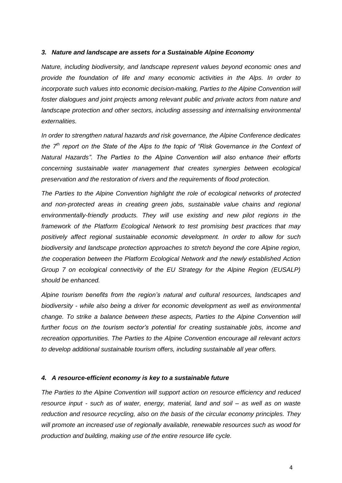# *3. Nature and landscape are assets for a Sustainable Alpine Economy*

*Nature, including biodiversity, and landscape represent values beyond economic ones and provide the foundation of life and many economic activities in the Alps. In order to incorporate such values into economic decision-making, Parties to the Alpine Convention will foster dialogues and joint projects among relevant public and private actors from nature and landscape protection and other sectors, including assessing and internalising environmental externalities.*

*In order to strengthen natural hazards and risk governance, the Alpine Conference dedicates the 7th report on the State of the Alps to the topic of "Risk Governance in the Context of Natural Hazards". The Parties to the Alpine Convention will also enhance their efforts concerning sustainable water management that creates synergies between ecological preservation and the restoration of rivers and the requirements of flood protection.*

*The Parties to the Alpine Convention highlight the role of ecological networks of protected and non-protected areas in creating green jobs, sustainable value chains and regional environmentally-friendly products. They will use existing and new pilot regions in the framework of the Platform Ecological Network to test promising best practices that may positively affect regional sustainable economic development. In order to allow for such biodiversity and landscape protection approaches to stretch beyond the core Alpine region, the cooperation between the Platform Ecological Network and the newly established Action Group 7 on ecological connectivity of the EU Strategy for the Alpine Region (EUSALP) should be enhanced.*

*Alpine tourism benefits from the region's natural and cultural resources, landscapes and biodiversity - while also being a driver for economic development as well as environmental change. To strike a balance between these aspects, Parties to the Alpine Convention will further focus on the tourism sector's potential for creating sustainable jobs, income and recreation opportunities. The Parties to the Alpine Convention encourage all relevant actors to develop additional sustainable tourism offers, including sustainable all year offers.*

### *4. A resource-efficient economy is key to a sustainable future*

*The Parties to the Alpine Convention will support action on resource efficiency and reduced resource input - such as of water, energy, material, land and soil – as well as on waste reduction and resource recycling, also on the basis of the circular economy principles. They will promote an increased use of regionally available, renewable resources such as wood for production and building, making use of the entire resource life cycle.*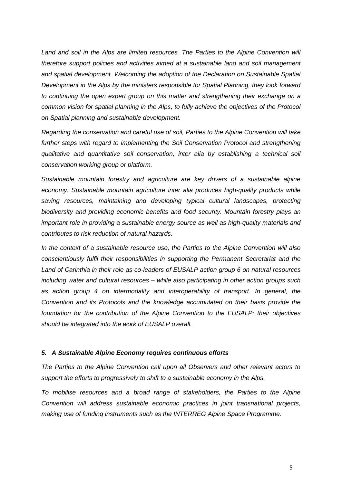*Land and soil in the Alps are limited resources. The Parties to the Alpine Convention will therefore support policies and activities aimed at a sustainable land and soil management and spatial development. Welcoming the adoption of the Declaration on Sustainable Spatial Development in the Alps by the ministers responsible for Spatial Planning, they look forward to continuing the open expert group on this matter and strengthening their exchange on a common vision for spatial planning in the Alps, to fully achieve the objectives of the Protocol on Spatial planning and sustainable development.*

*Regarding the conservation and careful use of soil, Parties to the Alpine Convention will take further steps with regard to implementing the Soil Conservation Protocol and strengthening qualitative and quantitative soil conservation, inter alia by establishing a technical soil conservation working group or platform.*

*Sustainable mountain forestry and agriculture are key drivers of a sustainable alpine economy. Sustainable mountain agriculture inter alia produces high-quality products while saving resources, maintaining and developing typical cultural landscapes, protecting biodiversity and providing economic benefits and food security. Mountain forestry plays an important role in providing a sustainable energy source as well as high-quality materials and contributes to risk reduction of natural hazards.*

*In the context of a sustainable resource use, the Parties to the Alpine Convention will also conscientiously fulfil their responsibilities in supporting the Permanent Secretariat and the Land of Carinthia in their role as co-leaders of EUSALP action group 6 on natural resources including water and cultural resources – while also participating in other action groups such as action group 4 on intermodality and interoperability of transport. In general, the Convention and its Protocols and the knowledge accumulated on their basis provide the foundation for the contribution of the Alpine Convention to the EUSALP; their objectives should be integrated into the work of EUSALP overall.* 

### *5. A Sustainable Alpine Economy requires continuous efforts*

*The Parties to the Alpine Convention call upon all Observers and other relevant actors to support the efforts to progressively to shift to a sustainable economy in the Alps.*

*To mobilise resources and a broad range of stakeholders, the Parties to the Alpine Convention will address sustainable economic practices in joint transnational projects, making use of funding instruments such as the INTERREG Alpine Space Programme.*